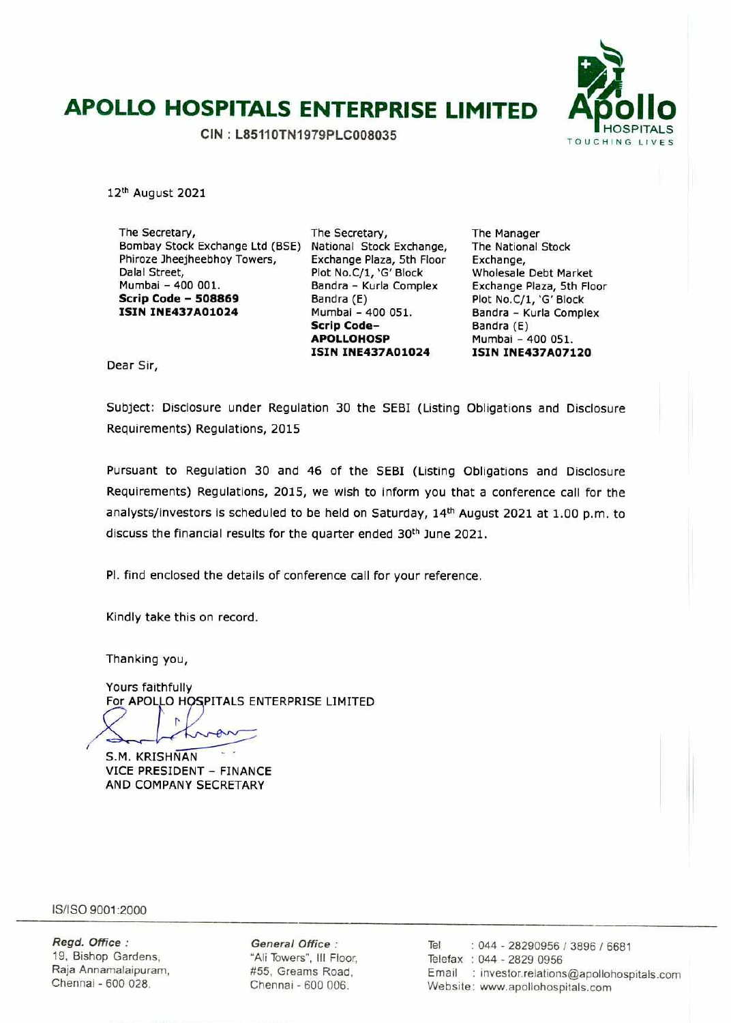# **APOLLO HOSPITALS ENTERPRISE LIMITED APOLLO BOSPITALS**

TOUCHING LIVES **CIN : L85110TN1979PLC008035** 



12th August 2021

The Secretary, Bombay Stock Exchange Ltd (BSE) Phiroze 3heejheebhoy Towers, Dalal Street, Mumbai - 400 001. **Scrip Code** - **<sup>508869</sup> ISIN 1NE437A01024** 

The Secretary, National Stock Exchange, Exchange Plaza, 5th Floor Plot No.C/1, 'G' Block Bandra - Kurla Complex Bandra (E) Mumbai - 400 051. **Scrip Code**-**A P0 LLO H OS P ISIN INE437A01024** 

The Manager The National Stock Exchange, Wholesale Debt Market Exchange Plaza, 5th Floor Plot No.C/1, 'G' Block Bandra - Kurla Complex Bandra (E) Mumbai - 400 051. **ISIN INE437A07120** 

Dear Sir,

Subject: Disclosure under Regulation 30 the SEBI (Listing Obligations and Disclosure Requirements) Regulations, 2015

Pursuant to Regulation 30 and 46 of the SEBI (Listing Obligations and Disclosure Requirements) Regulations, 2015, we wish to inform you that a conference call for the analysts/investors is scheduled to be held on Saturday, 14<sup>th</sup> August 2021 at 1.00 p.m. to discuss the financial results for the quarter ended 30<sup>th</sup> June 2021.

P1. find enclosed the details of conference call for your reference.

Kindly take this on record.

Thanking you,

Yours faithfully For APOLLO HOSPITALS ENTERPRISE LIMITED

r.

S.M. KRISHNAN VICE PRESIDENT - FINANCE AND COMPANY SECRETARY

IS/ISO 9001:2000

Regd. Office: 19, Bishop Gardens, Raja Annamalaipuram, Chennai - 600 028.

General Office: "All Towers", Ill Floor, #55, Greams Road, Chennal - 600 006.

Tel : 044 - 28290956 / 3896 / 6681 Telefax : 044 - 2829 0956 Email : investor.relations@apollohospitals.com Website: www.apollohospitals.com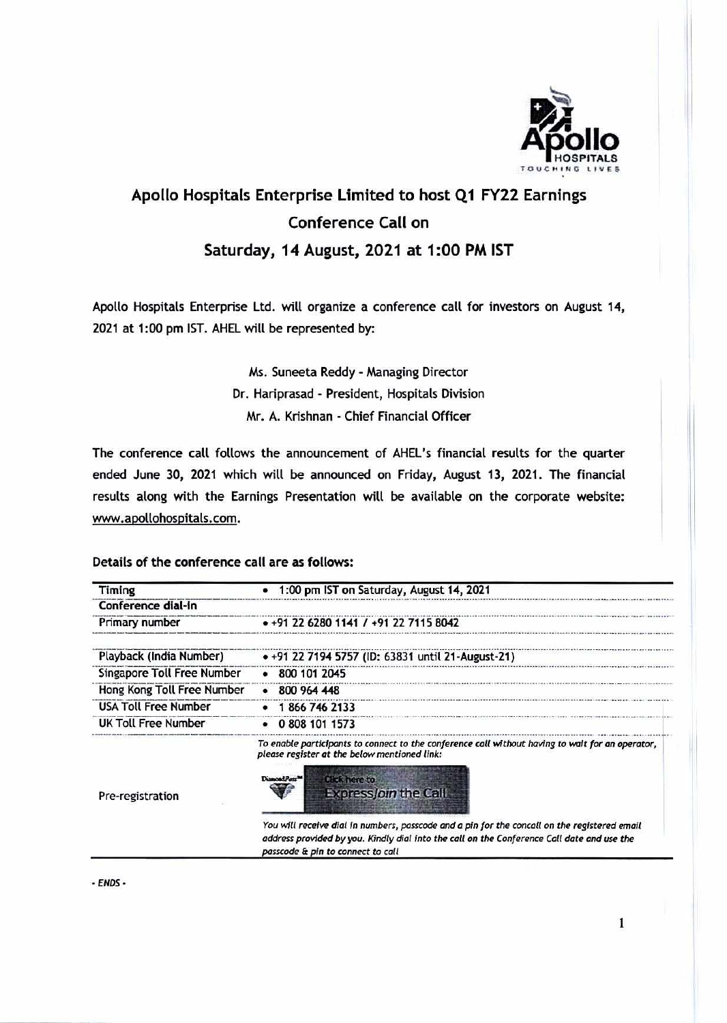

## **Apollo Hospitals Enterprise Limited to host QI FY22 Earnings Conference Call on Saturday, 14 August, 2021 at 1:00 PM 1ST**

Apollo Hospitals Enterprise Ltd. will organize a conference call for investors on August 14, 2021 at 1:00 pm 1ST. AHEL will be represented by:

> Ms. Suneeta Reddy - Managing Director Dr. Hariprasad - President, Hospitals Division Mr. A. Knshnan - Chief Financial Officer

The conference call follows the announcement of AHEL's financial results for the quarter ended June 30, 2021 which will be announced on Friday, August 13, 2021. The financial results along with the Earnings Presentation Will be available on the corporate website: www.apollohospitals.com.

### Details of **the conference** call are as follows:

| Timing                      | 1:00 pm IST on Saturday, August 14, 2021                                                                                                                                                                                             |
|-----------------------------|--------------------------------------------------------------------------------------------------------------------------------------------------------------------------------------------------------------------------------------|
| Conference dial-in          |                                                                                                                                                                                                                                      |
| Primary number              | • +91 22 6280 1141 / +91 22 7115 8042                                                                                                                                                                                                |
| Playback (India Number)     | • +91 22 7194 5757 (ID: 63831 until 21-August-21)                                                                                                                                                                                    |
| Singapore Toll Free Number  | $-8001012045$                                                                                                                                                                                                                        |
| Hong Kong Toll Free Number  | 800 964 448                                                                                                                                                                                                                          |
| <b>USA Toll Free Number</b> | 1866 746 2133                                                                                                                                                                                                                        |
| <b>UK Toll Free Number</b>  | 0 808 101 1573                                                                                                                                                                                                                       |
| Pre-registration            | To enable participants to connect to the conference call without having to wait for an operator,<br>please register at the below mentioned link:<br>DiamondPatr <sup>na</sup><br><b>Click here to</b><br><b>Expressjoin the Call</b> |
|                             | You will receive dial in numbers, passcode and a pin for the concall on the registered email<br>address provided by you. Kindly dial into the call on the Conference Call date and use the<br>passcode & pin to connect to call      |

- ENDS -